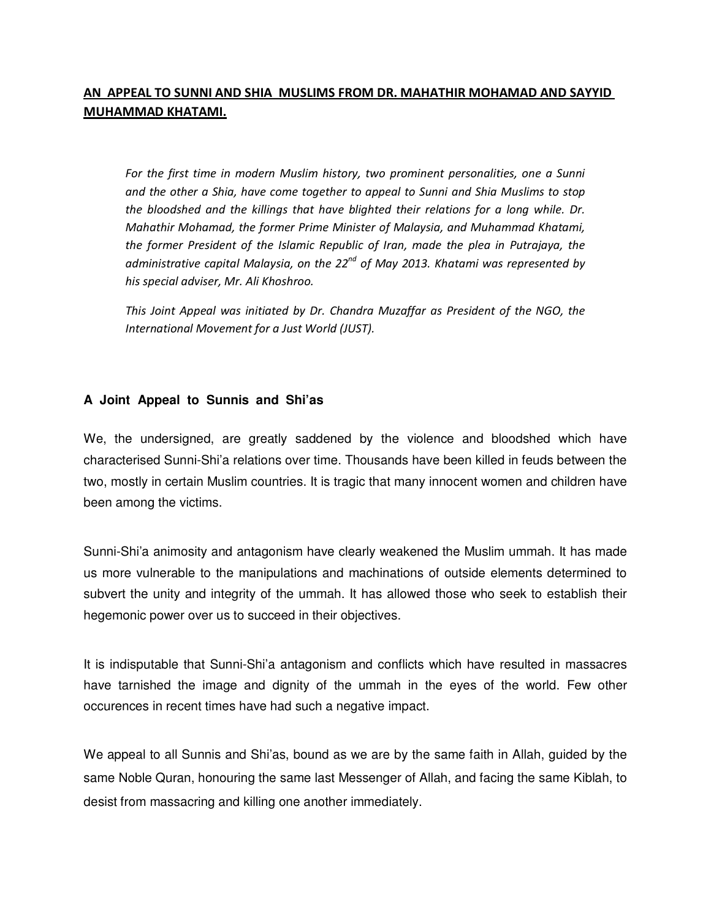## **AN APPEAL TO SUNNI AND SHIA MUSLIMS FROM DR. MAHATHIR MOHAMAD AND SAYYID MUHAMMAD KHATAMI.**

For the first time in modern Muslim history, two prominent personalities, one a Sunni *and the other a Shia, have come together to appeal to Sunni and Shia Muslims to stop the bloodshed and the killings that have blighted their relations for a long while. Dr. Mahathir Mohamad, the former Prime Minister of Malaysia, and Muhammad Khatami, the former President of the Islamic Republic of Iran, made the plea in Putrajaya, the administrative capital Malaysia, on the 22nd of May 2013. Khatami was represented by his special adviser, Mr. Ali Khoshroo.* 

*This Joint Appeal was initiated by Dr. Chandra Muzaffar as President of the NGO, the International Movement for a Just World (JUST).* 

## **A Joint Appeal to Sunnis and Shi'as**

We, the undersigned, are greatly saddened by the violence and bloodshed which have characterised Sunni-Shi'a relations over time. Thousands have been killed in feuds between the two, mostly in certain Muslim countries. It is tragic that many innocent women and children have been among the victims.

Sunni-Shi'a animosity and antagonism have clearly weakened the Muslim ummah. It has made us more vulnerable to the manipulations and machinations of outside elements determined to subvert the unity and integrity of the ummah. It has allowed those who seek to establish their hegemonic power over us to succeed in their objectives.

It is indisputable that Sunni-Shi'a antagonism and conflicts which have resulted in massacres have tarnished the image and dignity of the ummah in the eyes of the world. Few other occurences in recent times have had such a negative impact.

We appeal to all Sunnis and Shi'as, bound as we are by the same faith in Allah, guided by the same Noble Quran, honouring the same last Messenger of Allah, and facing the same Kiblah, to desist from massacring and killing one another immediately.